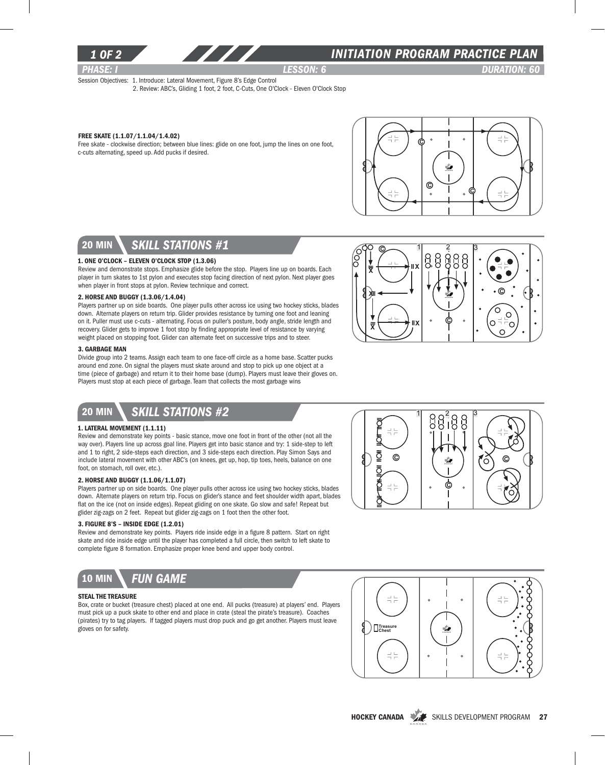

### *1 of 2 INITIATION program PRACTICE PLAN*

*PHASE: I lesson: 6 DURATION: 60* 

C

Ö O  $\circ$   $\overline{\ }$   $\overline{\ }$  $\circ$ 

Session Objectives: 1. Introduce: Lateral Movement, Figure 8's Edge Control 2. Review: ABC's, Gliding 1 foot, 2 foot, C-Cuts, One O'Clock - Eleven O'Clock Stop

### Free Skate (1.1.07/1.1.04/1.4.02)

Free skate - clockwise direction; between blue lines: glide on one foot, jump the lines on one foot, c-cuts alternating, speed up. Add pucks if desired.



C

 $\begin{array}{ccc} 1 & 2 & 3 \end{array}$ 

C

X

ÌÒ<br>O

<del>ᢠᠧ᠆᠆᠆᠆</del>᠊᠊ᢣ‼×

<del>≅</del>∠——¥"∡

## 20 min *skill stations #1*

#### 1. One O'clock – Eleven O'clock Stop (1.3.06)

Review and demonstrate stops. Emphasize glide before the stop. Players line up on boards. Each player in turn skates to 1st pylon and executes stop facing direction of next pylon. Next player goes when player in front stops at pylon. Review technique and correct.

#### 2. Horse and Buggy (1.3.06/1.4.04)

Players partner up on side boards. One player pulls other across ice using two hockey sticks, blades down. Alternate players on return trip. Glider provides resistance by turning one foot and leaning on it. Puller must use c-cuts - alternating. Focus on puller's posture, body angle, stride length and recovery. Glider gets to improve 1 foot stop by finding appropriate level of resistance by varying weight placed on stopping foot. Glider can alternate feet on successive trips and to steer.

#### 3. Garbage Man

Divide group into 2 teams. Assign each team to one face-off circle as a home base. Scatter pucks around end zone. On signal the players must skate around and stop to pick up one object at a time (piece of garbage) and return it to their home base (dump). Players must leave their gloves on. Players must stop at each piece of garbage. Team that collects the most garbage wins

## 20 min *skill stations #2*

#### 1. Lateral Movement (1.1.11)

Review and demonstrate key points - basic stance, move one foot in front of the other (not all the way over). Players line up across goal line. Players get into basic stance and try: 1 side-step to left and 1 to right, 2 side-steps each direction, and 3 side-steps each direction. Play Simon Says and include lateral movement with other ABC's (on knees, get up, hop, tip toes, heels, balance on one foot, on stomach, roll over, etc.).

#### 2. Horse and Buggy (1.1.06/1.1.07)

Players partner up on side boards. One player pulls other across ice using two hockey sticks, blades down. Alternate players on return trip. Focus on glider's stance and feet shoulder width apart, blades flat on the ice (not on inside edges). Repeat gliding on one skate. Go slow and safe! Repeat but glider zig-zags on 2 feet. Repeat but glider zig-zags on 1 foot then the other foot.

#### 3. Figure 8's – Inside Edge (1.2.01)

Review and demonstrate key points. Players ride inside edge in a figure 8 pattern. Start on right skate and ride inside edge until the player has completed a full circle, then switch to left skate to complete figure 8 formation. Emphasize proper knee bend and upper body control.



#### Steal the Treasure

Box, crate or bucket (treasure chest) placed at one end. All pucks (treasure) at players' end. Players must pick up a puck skate to other end and place in crate (steal the pirate's treasure). Coaches (pirates) try to tag players. If tagged players must drop puck and go get another. Players must leave gloves on for safety.